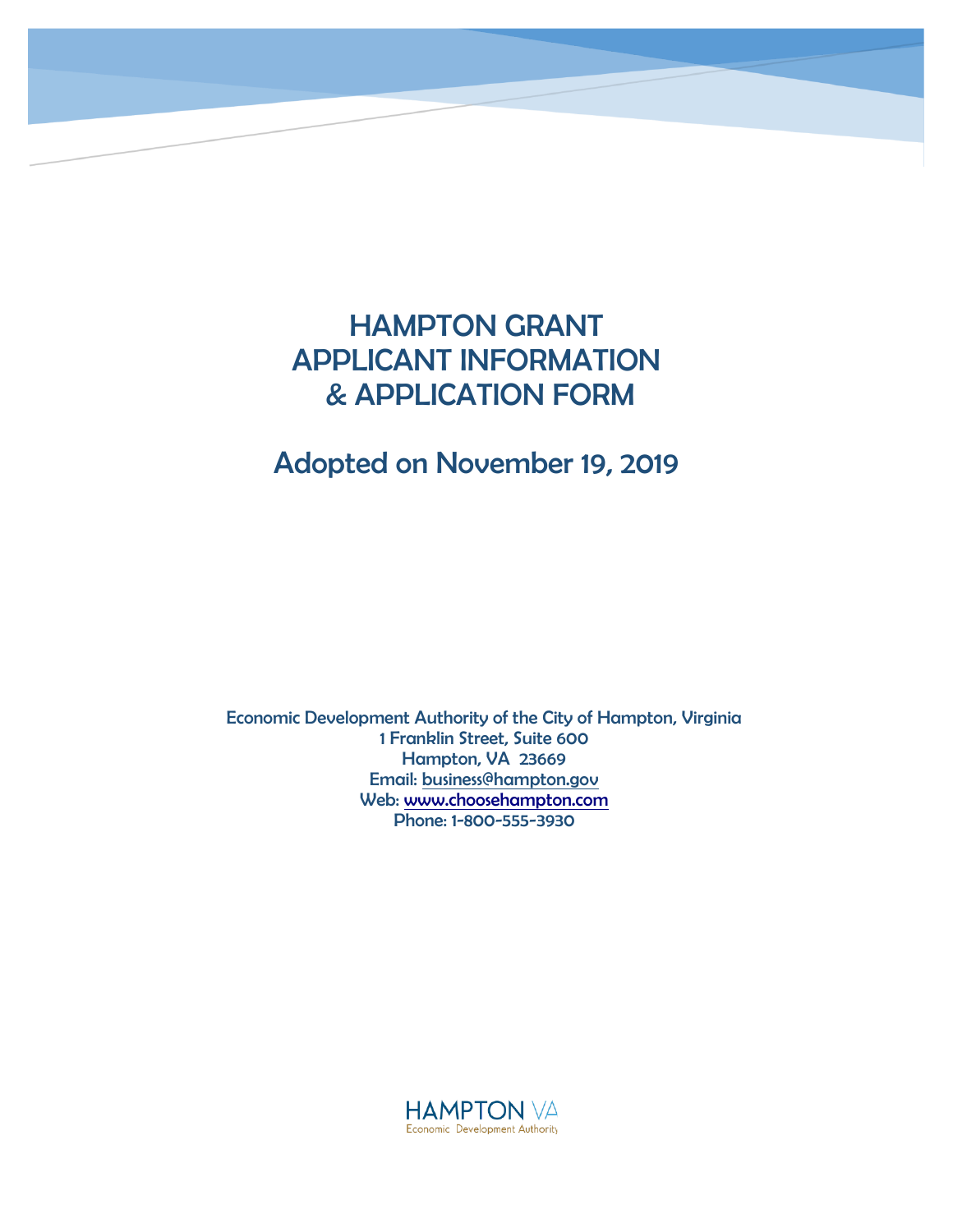## HAMPTON GRANT APPLICANT INFORMATION & APPLICATION FORM

## Adopted on November 19, 2019

Economic Development Authority of the City of Hampton, Virginia 1 Franklin Street, Suite 600 Hampton, VA 23669 Email: [business@hampton.gov](mailto:business@hampton.gov) Web: [www.choosehampton.com](http://www.choosehampton.com/) Phone: 1-800-555-3930

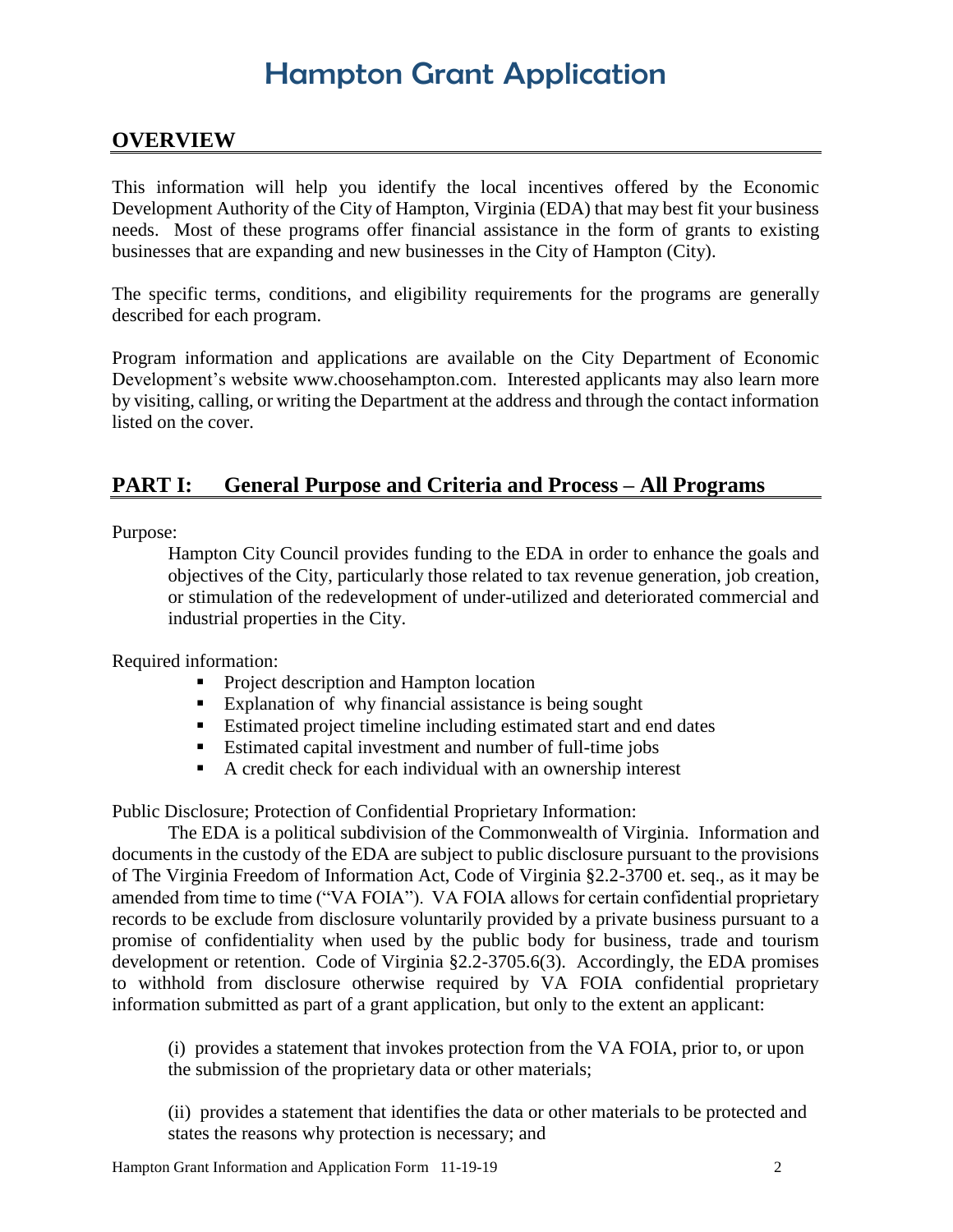### **OVERVIEW**

This information will help you identify the local incentives offered by the Economic Development Authority of the City of Hampton, Virginia (EDA) that may best fit your business needs. Most of these programs offer financial assistance in the form of grants to existing businesses that are expanding and new businesses in the City of Hampton (City).

The specific terms, conditions, and eligibility requirements for the programs are generally described for each program.

Program information and applications are available on the City Department of Economic Development's website www.choosehampton.com. Interested applicants may also learn more by visiting, calling, or writing the Department at the address and through the contact information listed on the cover.

### **PART I: General Purpose and Criteria and Process – All Programs**

Purpose:

Hampton City Council provides funding to the EDA in order to enhance the goals and objectives of the City, particularly those related to tax revenue generation, job creation, or stimulation of the redevelopment of under-utilized and deteriorated commercial and industrial properties in the City.

Required information:

- **Project description and Hampton location**
- Explanation of why financial assistance is being sought
- Estimated project timeline including estimated start and end dates
- Estimated capital investment and number of full-time jobs
- A credit check for each individual with an ownership interest

Public Disclosure; Protection of Confidential Proprietary Information:

The EDA is a political subdivision of the Commonwealth of Virginia. Information and documents in the custody of the EDA are subject to public disclosure pursuant to the provisions of The Virginia Freedom of Information Act, Code of Virginia §2.2-3700 et. seq., as it may be amended from time to time ("VA FOIA"). VA FOIA allows for certain confidential proprietary records to be exclude from disclosure voluntarily provided by a private business pursuant to a promise of confidentiality when used by the public body for business, trade and tourism development or retention. Code of Virginia §2.2-3705.6(3). Accordingly, the EDA promises to withhold from disclosure otherwise required by VA FOIA confidential proprietary information submitted as part of a grant application, but only to the extent an applicant:

(i) provides a statement that invokes protection from the VA FOIA, prior to, or upon the submission of the proprietary data or other materials;

(ii) provides a statement that identifies the data or other materials to be protected and states the reasons why protection is necessary; and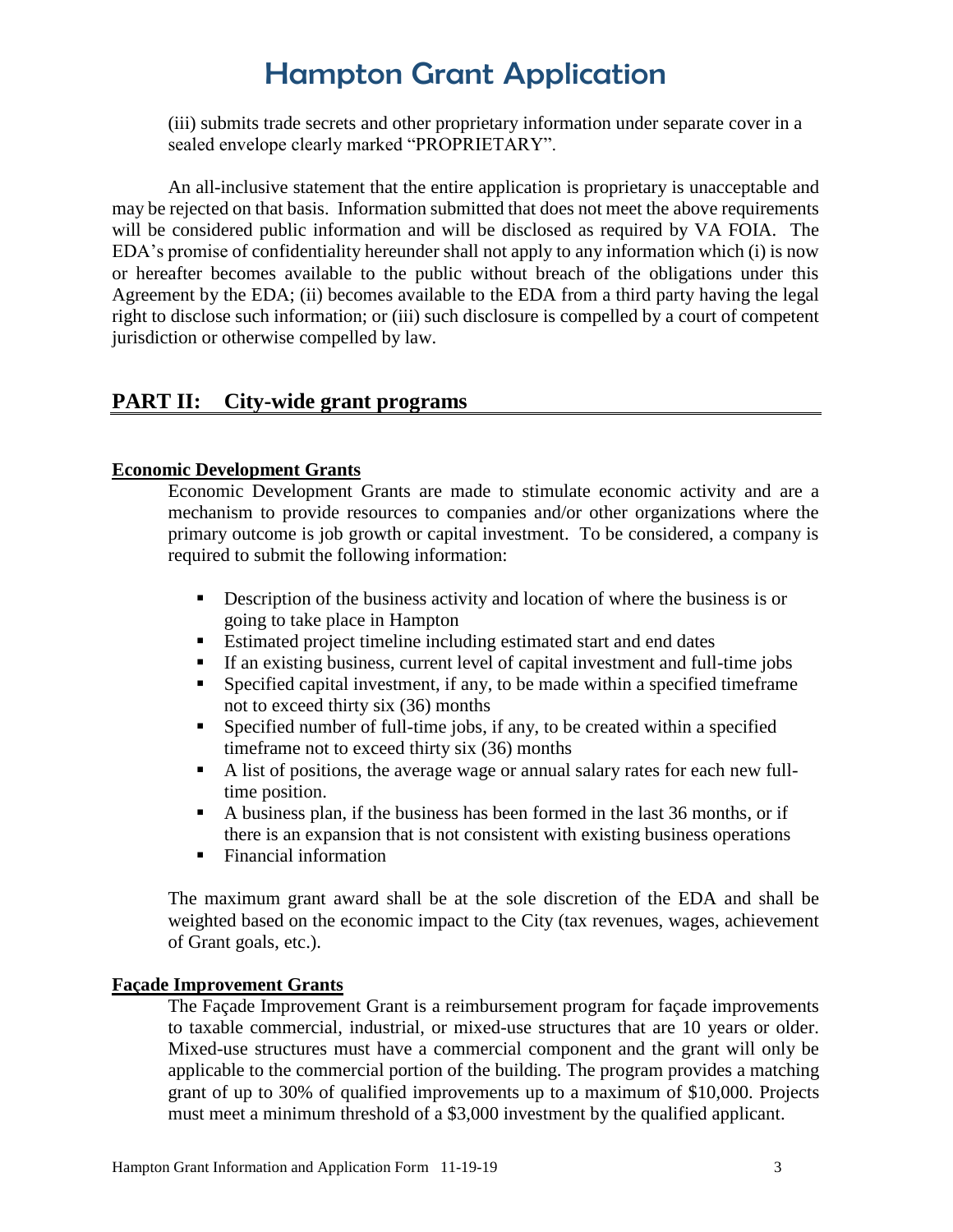(iii) submits trade secrets and other proprietary information under separate cover in a sealed envelope clearly marked "PROPRIETARY".

An all-inclusive statement that the entire application is proprietary is unacceptable and may be rejected on that basis. Information submitted that does not meet the above requirements will be considered public information and will be disclosed as required by VA FOIA. The EDA's promise of confidentiality hereunder shall not apply to any information which (i) is now or hereafter becomes available to the public without breach of the obligations under this Agreement by the EDA; (ii) becomes available to the EDA from a third party having the legal right to disclose such information; or (iii) such disclosure is compelled by a court of competent jurisdiction or otherwise compelled by law.

### **PART II: City-wide grant programs**

### **Economic Development Grants**

Economic Development Grants are made to stimulate economic activity and are a mechanism to provide resources to companies and/or other organizations where the primary outcome is job growth or capital investment. To be considered, a company is required to submit the following information:

- Description of the business activity and location of where the business is or going to take place in Hampton
- Estimated project timeline including estimated start and end dates
- If an existing business, current level of capital investment and full-time jobs
- Specified capital investment, if any, to be made within a specified timeframe not to exceed thirty six (36) months
- Specified number of full-time jobs, if any, to be created within a specified timeframe not to exceed thirty six (36) months
- A list of positions, the average wage or annual salary rates for each new fulltime position.
- A business plan, if the business has been formed in the last 36 months, or if there is an expansion that is not consistent with existing business operations
- Financial information

The maximum grant award shall be at the sole discretion of the EDA and shall be weighted based on the economic impact to the City (tax revenues, wages, achievement of Grant goals, etc.).

### **Façade Improvement Grants**

The Façade Improvement Grant is a reimbursement program for façade improvements to taxable commercial, industrial, or mixed-use structures that are 10 years or older. Mixed-use structures must have a commercial component and the grant will only be applicable to the commercial portion of the building. The program provides a matching grant of up to 30% of qualified improvements up to a maximum of \$10,000. Projects must meet a minimum threshold of a \$3,000 investment by the qualified applicant.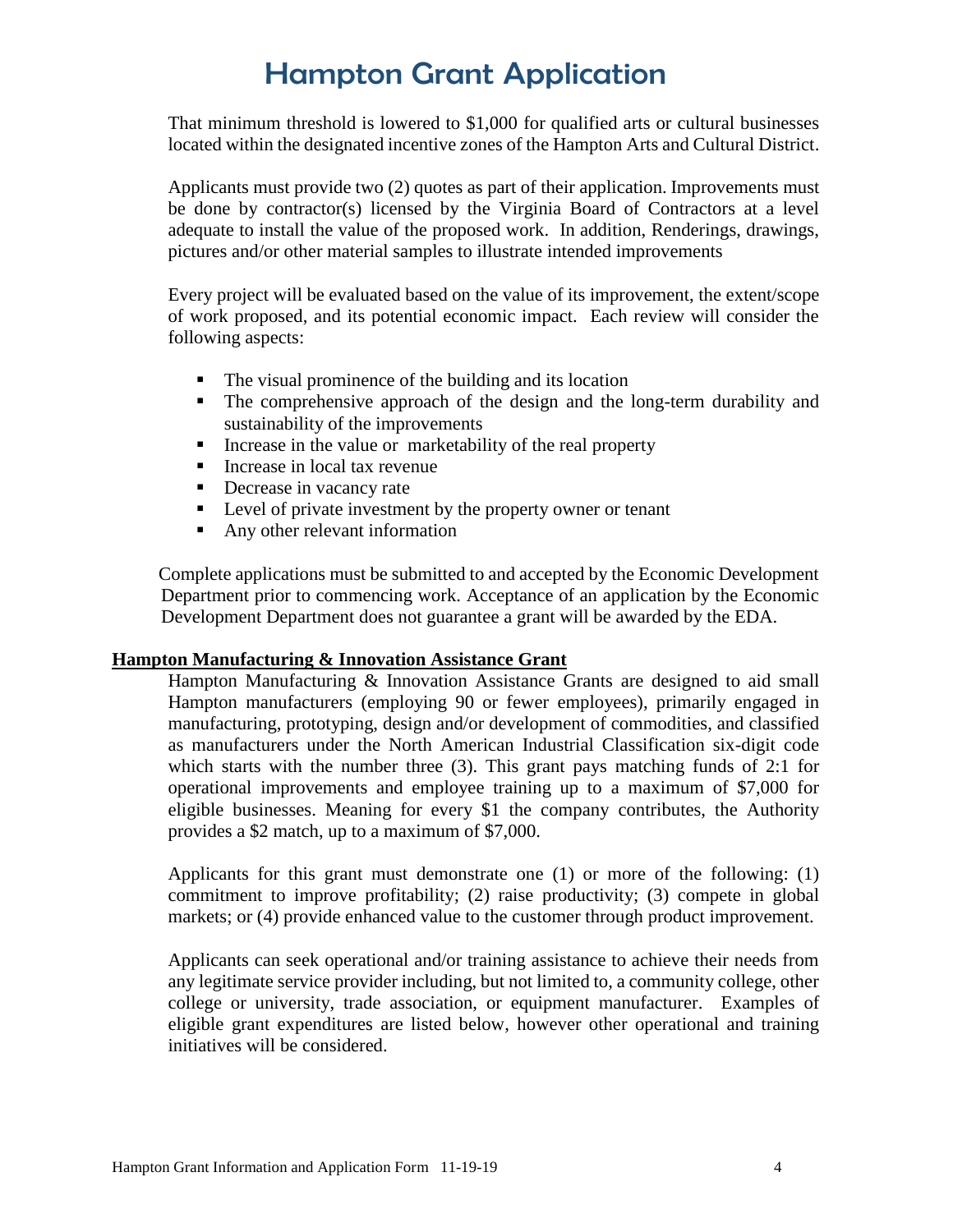That minimum threshold is lowered to \$1,000 for qualified arts or cultural businesses located within the designated incentive zones of the Hampton Arts and Cultural District.

Applicants must provide two (2) quotes as part of their application. Improvements must be done by contractor(s) licensed by the Virginia Board of Contractors at a level adequate to install the value of the proposed work. In addition, Renderings, drawings, pictures and/or other material samples to illustrate intended improvements

Every project will be evaluated based on the value of its improvement, the extent/scope of work proposed, and its potential economic impact. Each review will consider the following aspects:

- The visual prominence of the building and its location
- The comprehensive approach of the design and the long-term durability and sustainability of the improvements
- Increase in the value or marketability of the real property
- Increase in local tax revenue
- Decrease in vacancy rate
- **Level of private investment by the property owner or tenant**
- Any other relevant information

Complete applications must be submitted to and accepted by the Economic Development Department prior to commencing work. Acceptance of an application by the Economic Development Department does not guarantee a grant will be awarded by the EDA.

### **Hampton Manufacturing & Innovation Assistance Grant**

Hampton Manufacturing & Innovation Assistance Grants are designed to aid small Hampton manufacturers (employing 90 or fewer employees), primarily engaged in manufacturing, prototyping, design and/or development of commodities, and classified as manufacturers under the North American Industrial Classification six-digit code which starts with the number three (3). This grant pays matching funds of 2:1 for operational improvements and employee training up to a maximum of \$7,000 for eligible businesses. Meaning for every \$1 the company contributes, the Authority provides a \$2 match, up to a maximum of \$7,000.

Applicants for this grant must demonstrate one (1) or more of the following: (1) commitment to improve profitability; (2) raise productivity; (3) compete in global markets; or (4) provide enhanced value to the customer through product improvement.

Applicants can seek operational and/or training assistance to achieve their needs from any legitimate service provider including, but not limited to, a community college, other college or university, trade association, or equipment manufacturer. Examples of eligible grant expenditures are listed below, however other operational and training initiatives will be considered.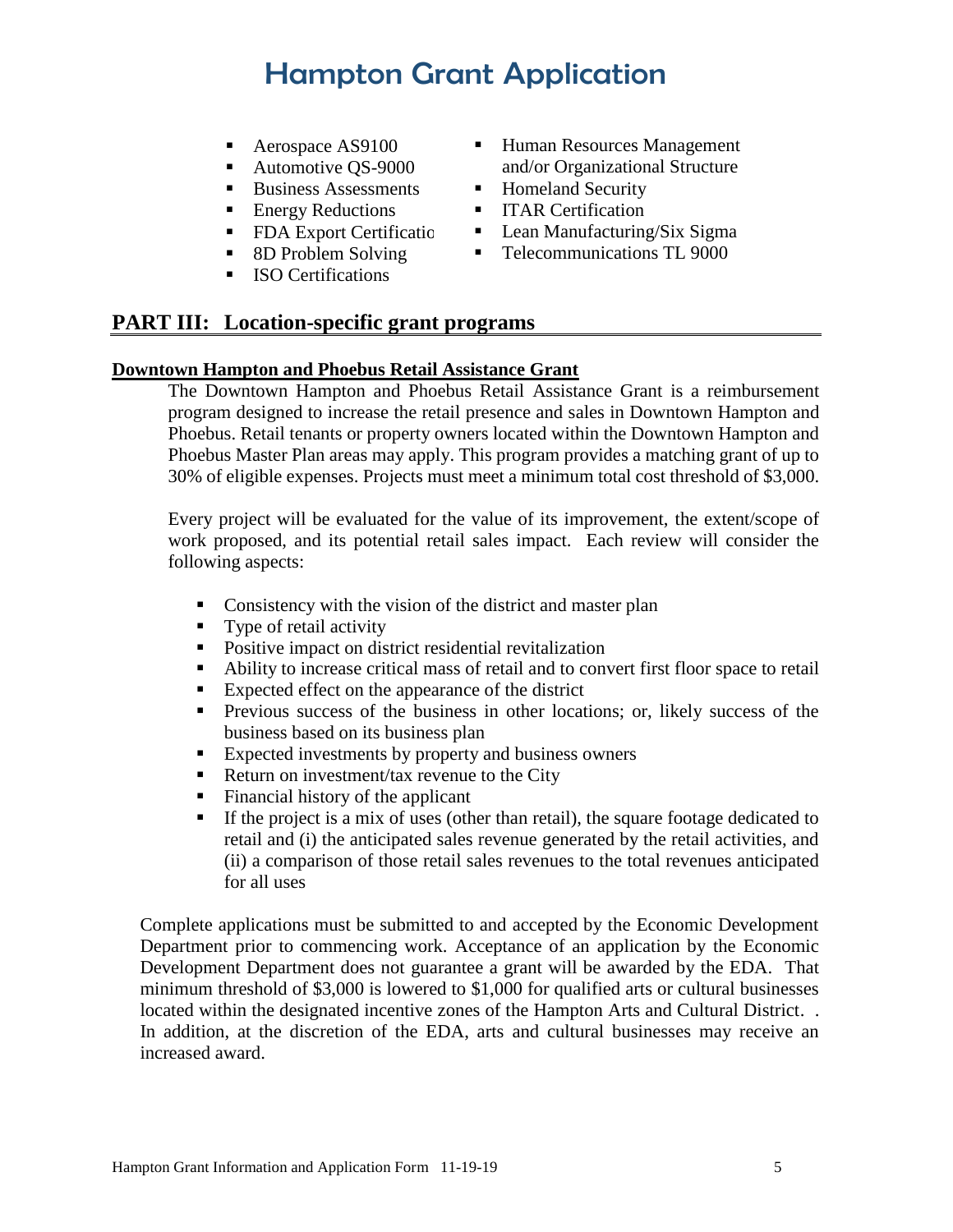- Aerospace AS9100
- Automotive QS-9000
- Business Assessments
- Energy Reductions
- FDA Export Certification
- 8D Problem Solving
- **ISO Certifications**
- **Human Resources Management** and/or Organizational Structure
- Homeland Security
- **ITAR Certification**
- Lean Manufacturing/Six Sigma
- Telecommunications TL 9000

### **PART III: Location-specific grant programs**

### **Downtown Hampton and Phoebus Retail Assistance Grant**

The Downtown Hampton and Phoebus Retail Assistance Grant is a reimbursement program designed to increase the retail presence and sales in Downtown Hampton and Phoebus. Retail tenants or property owners located within the Downtown Hampton and Phoebus Master Plan areas may apply. This program provides a matching grant of up to 30% of eligible expenses. Projects must meet a minimum total cost threshold of \$3,000.

Every project will be evaluated for the value of its improvement, the extent/scope of work proposed, and its potential retail sales impact. Each review will consider the following aspects:

- Consistency with the vision of the district and master plan
- Type of retail activity
- Positive impact on district residential revitalization
- Ability to increase critical mass of retail and to convert first floor space to retail
- Expected effect on the appearance of the district
- **Previous success of the business in other locations; or, likely success of the** business based on its business plan
- Expected investments by property and business owners
- Return on investment/tax revenue to the City
- Financial history of the applicant
- If the project is a mix of uses (other than retail), the square footage dedicated to retail and (i) the anticipated sales revenue generated by the retail activities, and (ii) a comparison of those retail sales revenues to the total revenues anticipated for all uses

Complete applications must be submitted to and accepted by the Economic Development Department prior to commencing work. Acceptance of an application by the Economic Development Department does not guarantee a grant will be awarded by the EDA. That minimum threshold of \$3,000 is lowered to \$1,000 for qualified arts or cultural businesses located within the designated incentive zones of the Hampton Arts and Cultural District. . In addition, at the discretion of the EDA, arts and cultural businesses may receive an increased award.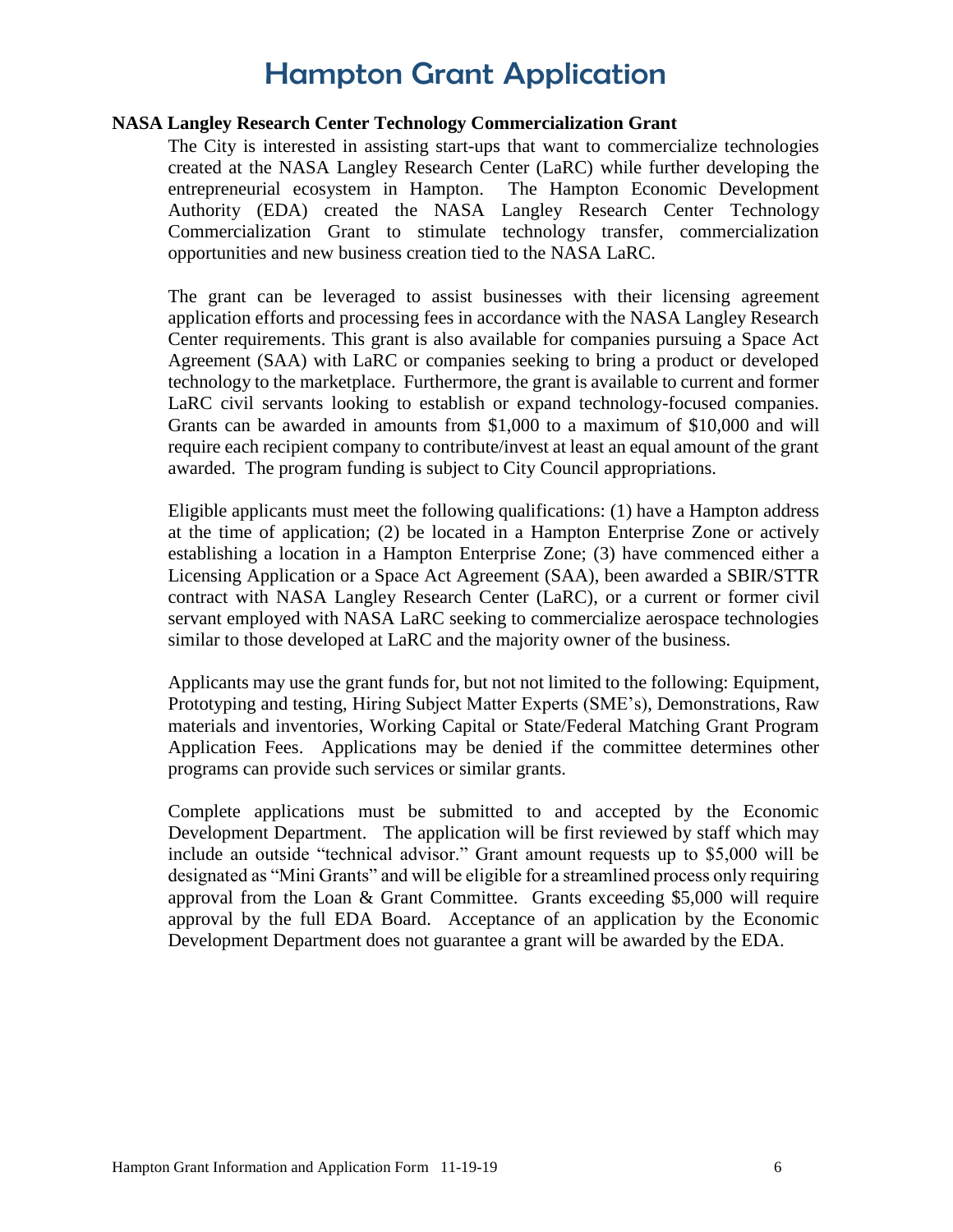#### **NASA Langley Research Center Technology Commercialization Grant**

The City is interested in assisting start-ups that want to commercialize technologies created at the NASA Langley Research Center (LaRC) while further developing the entrepreneurial ecosystem in Hampton. The Hampton Economic Development Authority (EDA) created the NASA Langley Research Center Technology Commercialization Grant to stimulate technology transfer, commercialization opportunities and new business creation tied to the NASA LaRC.

The grant can be leveraged to assist businesses with their licensing agreement application efforts and processing fees in accordance with the NASA Langley Research Center requirements. This grant is also available for companies pursuing a Space Act Agreement (SAA) with LaRC or companies seeking to bring a product or developed technology to the marketplace. Furthermore, the grant is available to current and former LaRC civil servants looking to establish or expand technology-focused companies. Grants can be awarded in amounts from \$1,000 to a maximum of \$10,000 and will require each recipient company to contribute/invest at least an equal amount of the grant awarded. The program funding is subject to City Council appropriations.

Eligible applicants must meet the following qualifications: (1) have a Hampton address at the time of application; (2) be located in a Hampton Enterprise Zone or actively establishing a location in a Hampton Enterprise Zone; (3) have commenced either a Licensing Application or a Space Act Agreement (SAA), been awarded a SBIR/STTR contract with NASA Langley Research Center (LaRC), or a current or former civil servant employed with NASA LaRC seeking to commercialize aerospace technologies similar to those developed at LaRC and the majority owner of the business.

Applicants may use the grant funds for, but not not limited to the following: Equipment, Prototyping and testing, Hiring Subject Matter Experts (SME's), Demonstrations, Raw materials and inventories, Working Capital or State/Federal Matching Grant Program Application Fees. Applications may be denied if the committee determines other programs can provide such services or similar grants.

Complete applications must be submitted to and accepted by the Economic Development Department. The application will be first reviewed by staff which may include an outside "technical advisor." Grant amount requests up to \$5,000 will be designated as "Mini Grants" and will be eligible for a streamlined process only requiring approval from the Loan & Grant Committee. Grants exceeding \$5,000 will require approval by the full EDA Board. Acceptance of an application by the Economic Development Department does not guarantee a grant will be awarded by the EDA.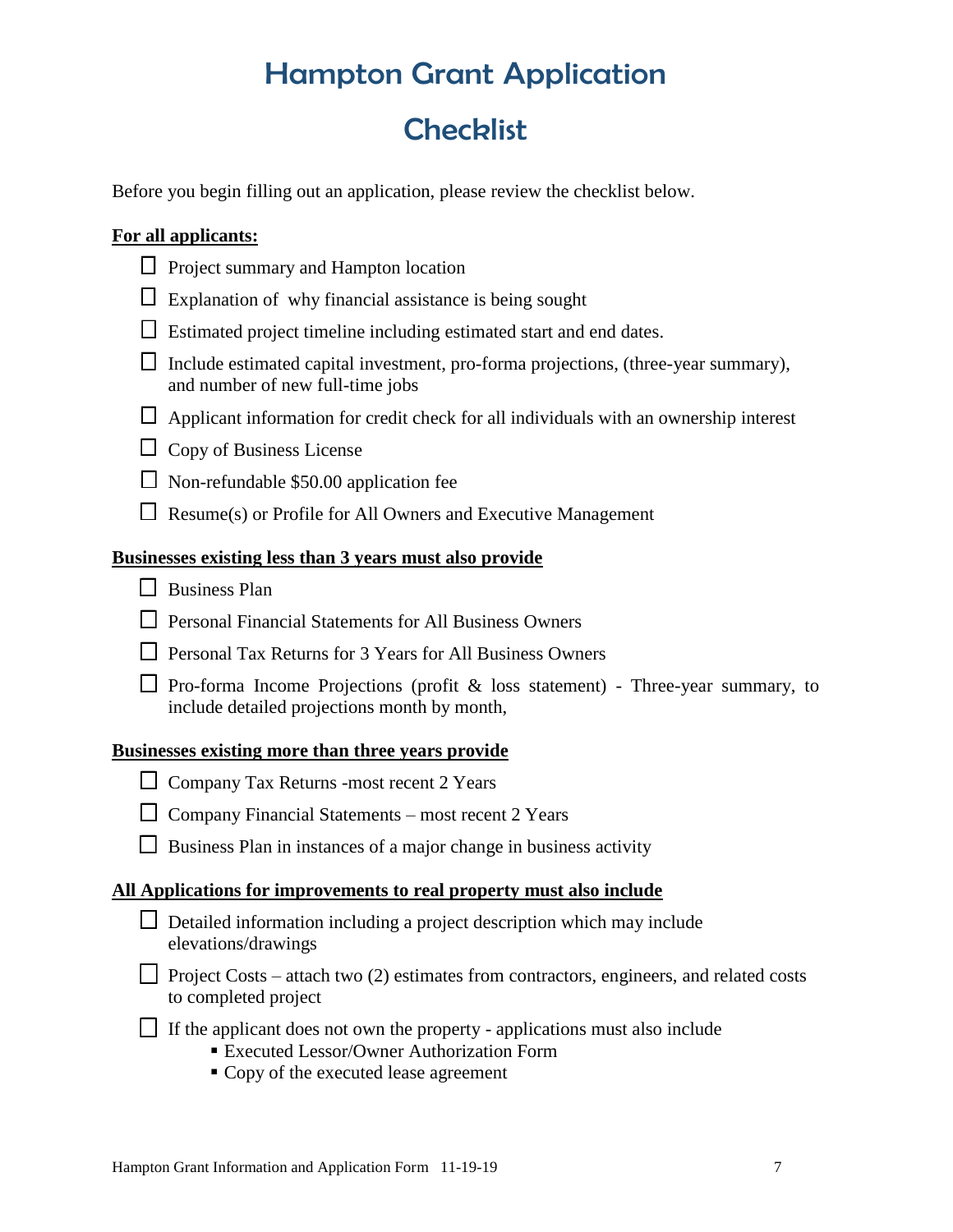# **Checklist**

Before you begin filling out an application, please review the checklist below.

### **For all applicants:**

- $\Box$  Project summary and Hampton location
- $\Box$  Explanation of why financial assistance is being sought
- $\Box$  Estimated project timeline including estimated start and end dates.
- $\Box$  Include estimated capital investment, pro-forma projections, (three-year summary), and number of new full-time jobs
- $\Box$  Applicant information for credit check for all individuals with an ownership interest
- $\Box$  Copy of Business License
- $\Box$  Non-refundable \$50.00 application fee
- $\Box$  Resume(s) or Profile for All Owners and Executive Management

### **Businesses existing less than 3 years must also provide**

- Business Plan
- $\Box$  Personal Financial Statements for All Business Owners
- $\Box$  Personal Tax Returns for 3 Years for All Business Owners
- $\Box$  Pro-forma Income Projections (profit & loss statement) Three-year summary, to include detailed projections month by month,

### **Businesses existing more than three years provide**

- □ Company Tax Returns -most recent 2 Years
- $\Box$  Company Financial Statements most recent 2 Years
- $\Box$  Business Plan in instances of a major change in business activity

### **All Applications for improvements to real property must also include**

| $\Box$ Detailed information including a project description which may include |
|-------------------------------------------------------------------------------|
| elevations/drawings                                                           |

- Project Costs attach two  $(2)$  estimates from contractors, engineers, and related costs to completed project
- $\Box$  If the applicant does not own the property applications must also include
	- Executed Lessor/Owner Authorization Form
	- Copy of the executed lease agreement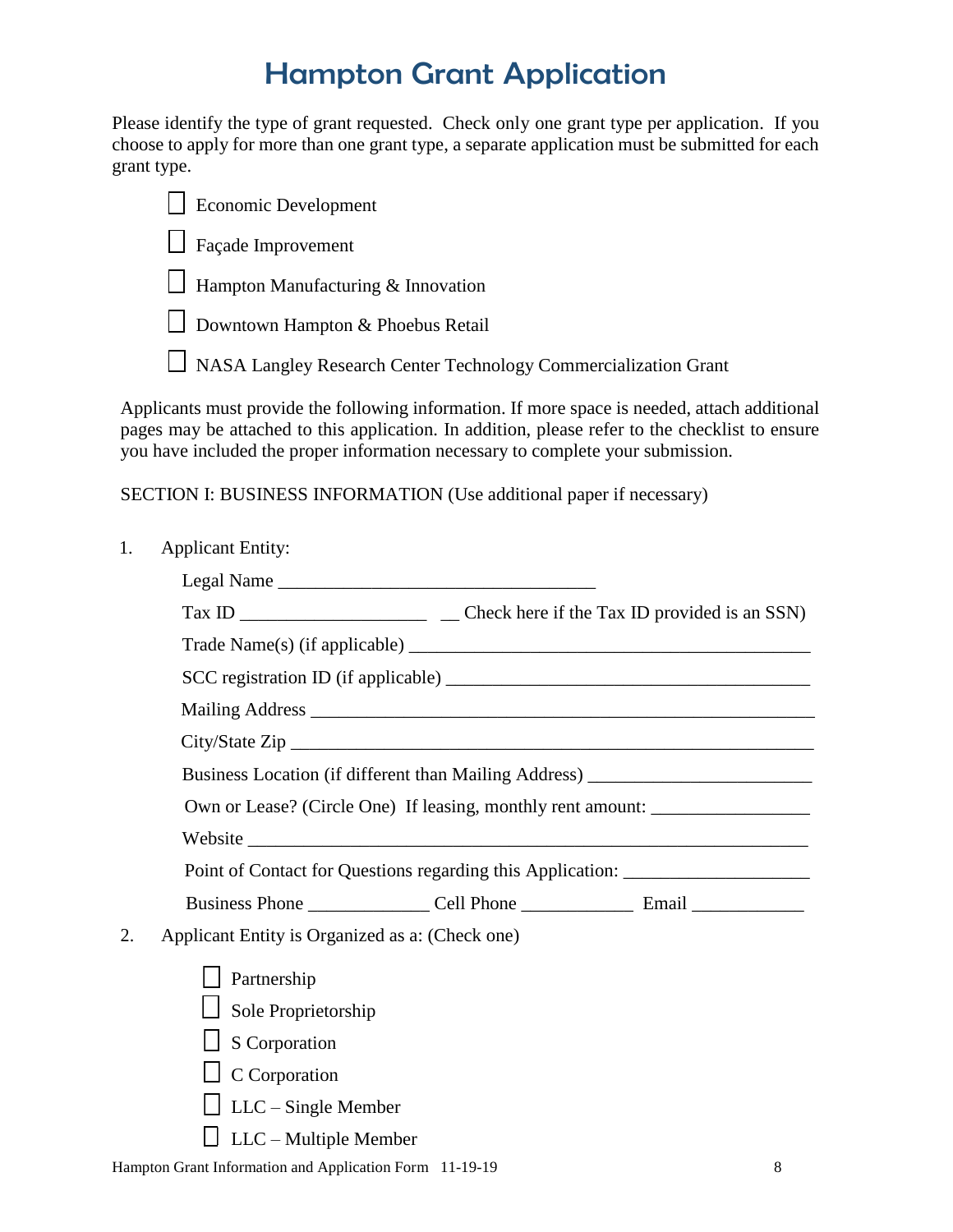Please identify the type of grant requested. Check only one grant type per application. If you choose to apply for more than one grant type, a separate application must be submitted for each grant type.

| $\Box$ Economic Development               |
|-------------------------------------------|
| $\Box$ Façade Improvement                 |
| $\Box$ Hampton Manufacturing & Innovation |
| $\Box$ Downtown Hampton & Phoebus Retail  |

NASA Langley Research Center Technology Commercialization Grant

Applicants must provide the following information. If more space is needed, attach additional pages may be attached to this application. In addition, please refer to the checklist to ensure you have included the proper information necessary to complete your submission.

### SECTION I: BUSINESS INFORMATION (Use additional paper if necessary)

1. Applicant Entity:

|    | Business Location (if different than Mailing Address) __________________________                                        |
|----|-------------------------------------------------------------------------------------------------------------------------|
|    | Own or Lease? (Circle One) If leasing, monthly rent amount: ____________________                                        |
|    |                                                                                                                         |
|    | Point of Contact for Questions regarding this Application: _____________________                                        |
|    |                                                                                                                         |
| 2. | Applicant Entity is Organized as a: (Check one)                                                                         |
|    | Partnership                                                                                                             |
|    | $\Box$ Sole Proprietorship                                                                                              |
|    | $\Box$ S Corporation                                                                                                    |
|    | $\Box$ C Corporation                                                                                                    |
|    | $\Box$ LLC – Single Member                                                                                              |
|    | $\Box$ LLC – Multiple Member                                                                                            |
|    | $\sim$ 1.0, $\sim$ 1.0, $\sim$ 1.4, $\sim$ 1.4, $\sim$ 1.4, $\sim$ 1.4, $\sim$ 1.4, $\sim$ 1.4, $\sim$ 1.0, 1.0, $\sim$ |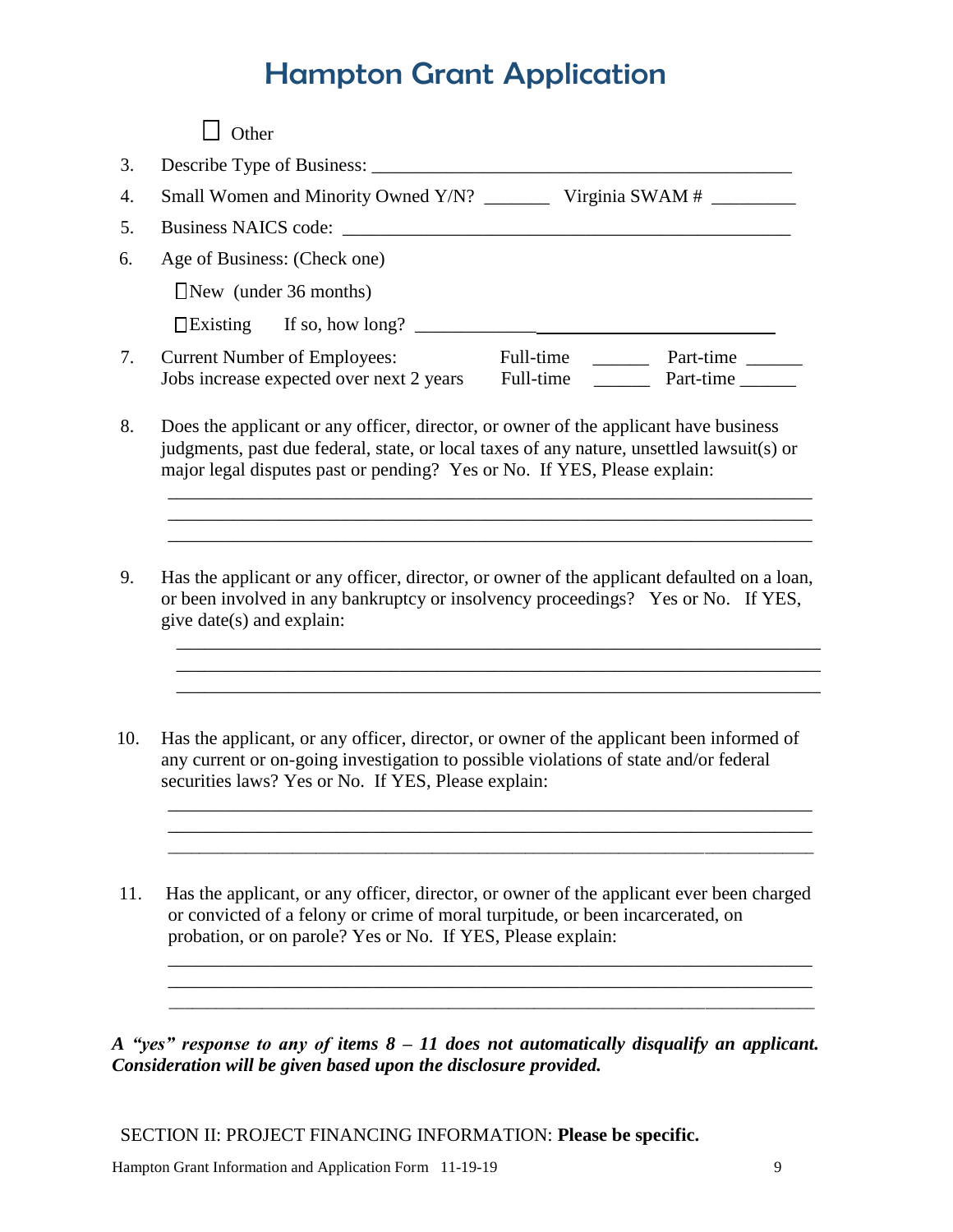| Age of Business: (Check one)                                                                                                                                                                                                           |
|----------------------------------------------------------------------------------------------------------------------------------------------------------------------------------------------------------------------------------------|
| $New$ (under 36 months)                                                                                                                                                                                                                |
| $\Box$ Existing If so, how long? $\Box$                                                                                                                                                                                                |
| <b>Current Number of Employees:</b><br>Full-time<br>Part-time<br>Jobs increase expected over next 2 years<br>Full-time<br>Part-time                                                                                                    |
| Does the applicant or any officer, director, or owner of the applicant have business<br>judgments, past due federal, state, or local taxes of any nature, unsettled lawsuit(s) or                                                      |
| major legal disputes past or pending? Yes or No. If YES, Please explain:                                                                                                                                                               |
| Has the applicant or any officer, director, or owner of the applicant defaulted on a loan,<br>or been involved in any bankruptcy or insolvency proceedings? Yes or No. If YES,<br>give date(s) and explain:                            |
|                                                                                                                                                                                                                                        |
| Has the applicant, or any officer, director, or owner of the applicant been informed of<br>any current or on-going investigation to possible violations of state and/or federal<br>securities laws? Yes or No. If YES, Please explain: |
|                                                                                                                                                                                                                                        |

*A "yes" response to any of items 8 – 11 does not automatically disqualify an applicant. Consideration will be given based upon the disclosure provided.*

\_\_\_\_\_\_\_\_\_\_\_\_\_\_\_\_\_\_\_\_\_\_\_\_\_\_\_\_\_\_\_\_\_\_\_\_\_\_\_\_\_\_\_\_\_\_\_\_\_\_\_\_\_\_\_\_\_\_\_\_\_\_\_\_\_\_\_\_\_

\_\_\_\_\_\_\_\_\_\_\_\_\_\_\_\_\_\_\_\_\_\_\_\_\_\_\_\_\_\_\_\_\_\_\_\_\_\_\_\_\_\_\_\_\_\_\_\_\_\_\_\_\_\_\_\_\_\_\_\_\_\_\_\_\_\_\_\_\_\_\_\_\_\_\_\_\_\_\_\_\_\_\_

SECTION II: PROJECT FINANCING INFORMATION: **Please be specific.**

probation, or on parole? Yes or No. If YES, Please explain: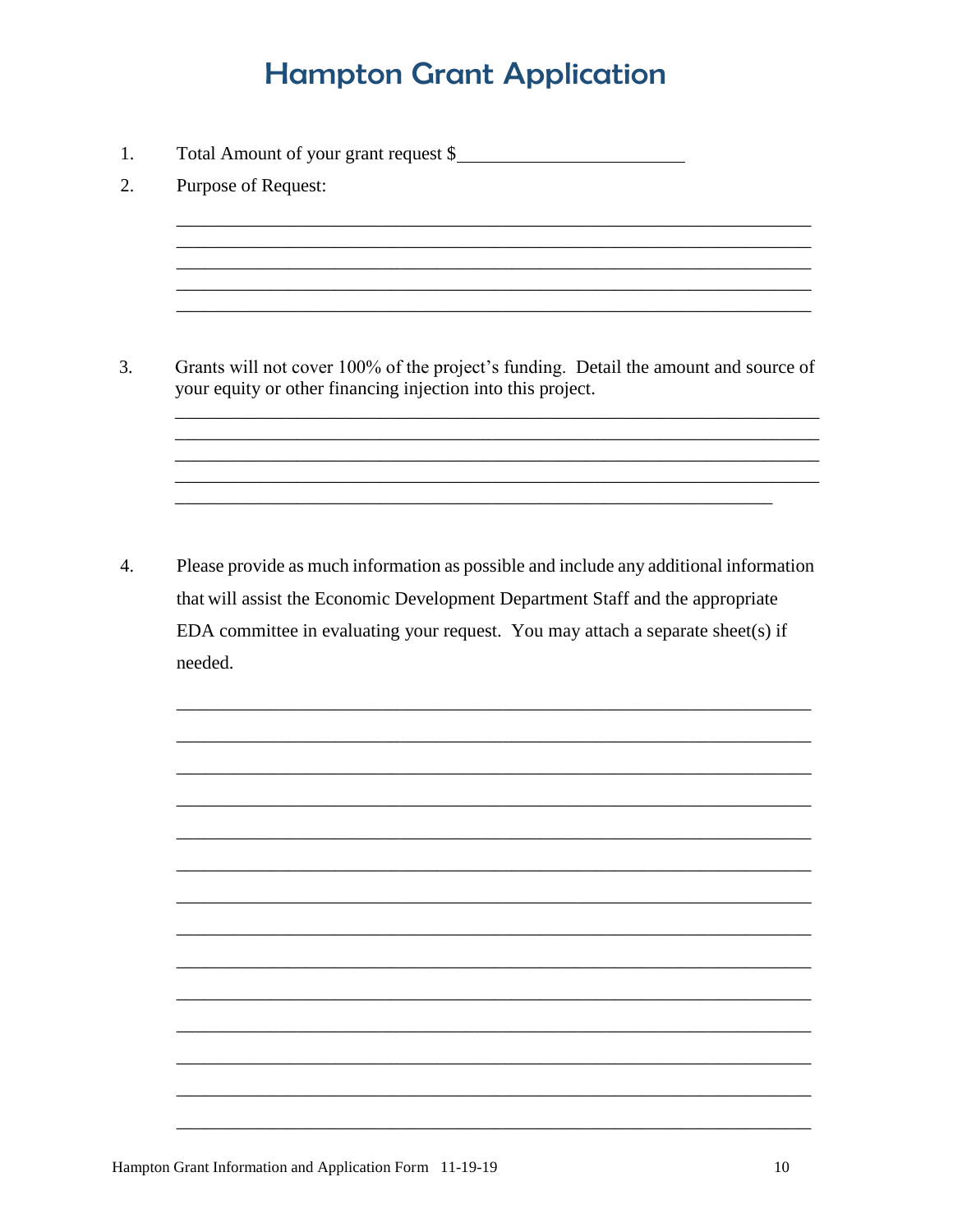1. Total Amount of your grant request \$

2. Purpose of Request:

3. Grants will not cover 100% of the project's funding. Detail the amount and source of your equity or other financing injection into this project.

 $4.$ Please provide as much information as possible and include any additional information that will assist the Economic Development Department Staff and the appropriate EDA committee in evaluating your request. You may attach a separate sheet(s) if needed.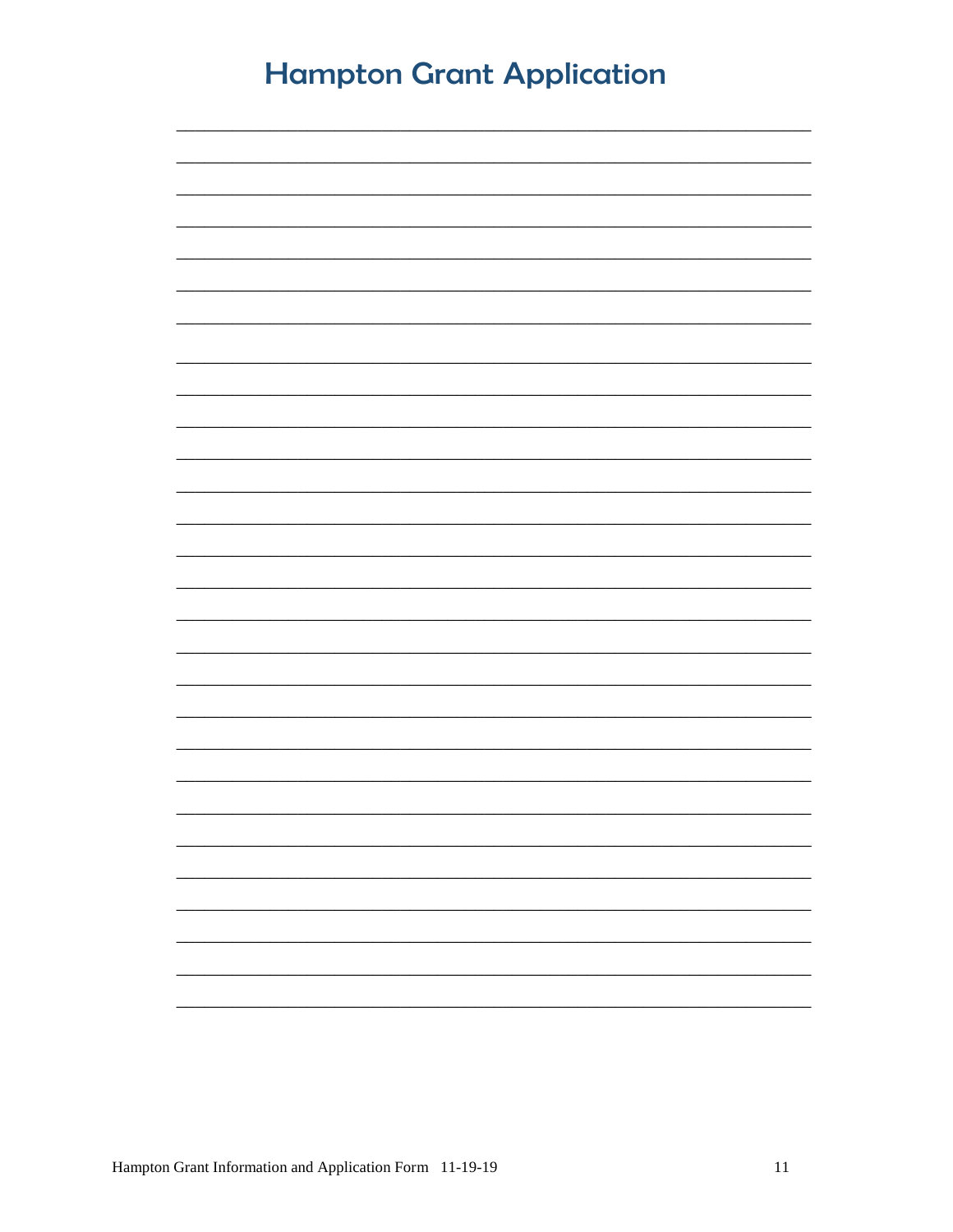| <b>Hampton Grant Application</b> |  |  |
|----------------------------------|--|--|
|                                  |  |  |
|                                  |  |  |
|                                  |  |  |
|                                  |  |  |
|                                  |  |  |
|                                  |  |  |
|                                  |  |  |
|                                  |  |  |
|                                  |  |  |
|                                  |  |  |
|                                  |  |  |
|                                  |  |  |
|                                  |  |  |
|                                  |  |  |
|                                  |  |  |
|                                  |  |  |
|                                  |  |  |
|                                  |  |  |
|                                  |  |  |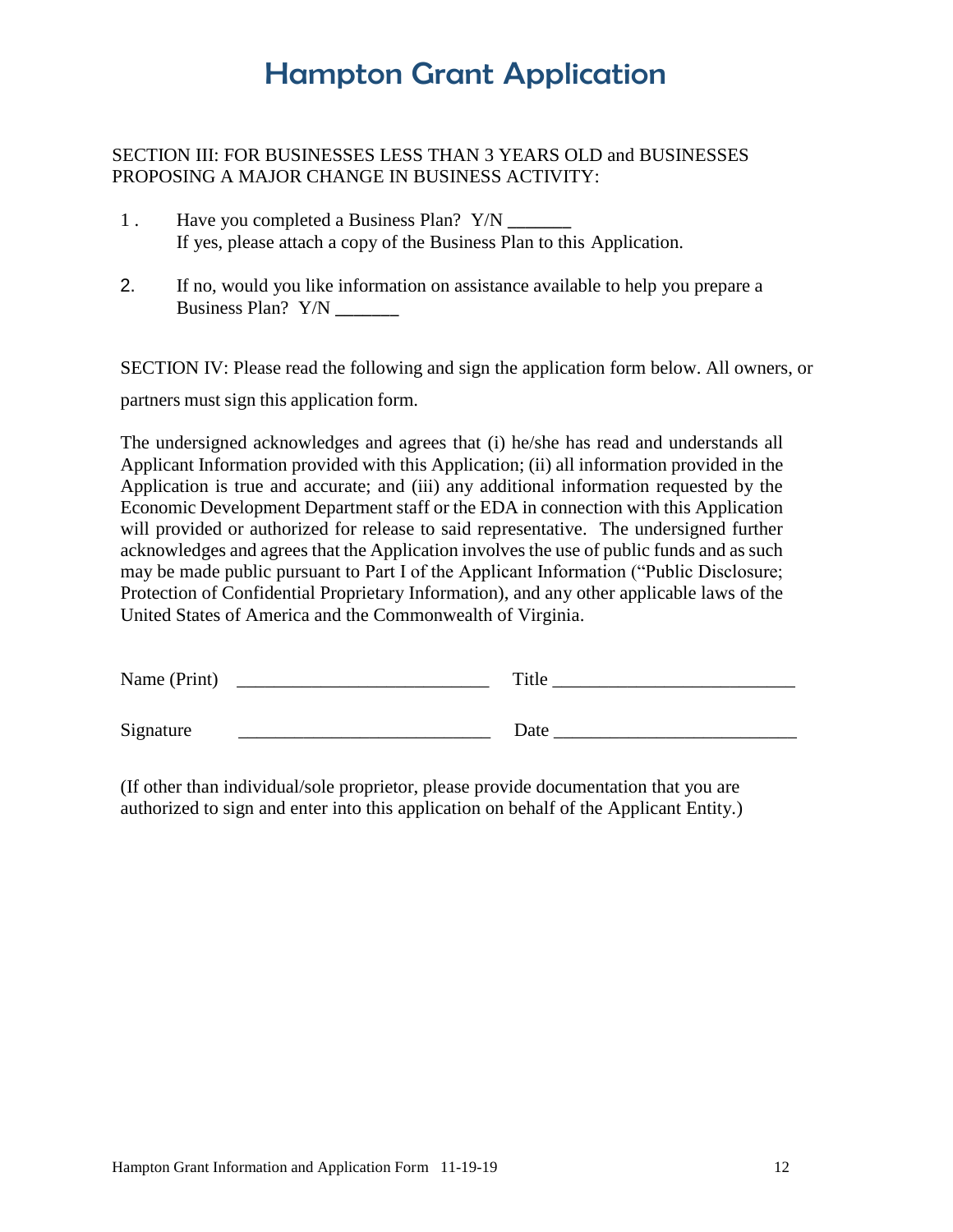### SECTION III: FOR BUSINESSES LESS THAN 3 YEARS OLD and BUSINESSES PROPOSING A MAJOR CHANGE IN BUSINESS ACTIVITY:

- 1 . Have you completed a Business Plan? Y/N \_\_\_\_\_\_\_\_\_ If yes, please attach a copy of the Business Plan to this Application.
- 2. If no, would you like information on assistance available to help you prepare a Business Plan? Y/N

SECTION IV: Please read the following and sign the application form below. All owners, or partners must sign this application form.

The undersigned acknowledges and agrees that (i) he/she has read and understands all Applicant Information provided with this Application; (ii) all information provided in the Application is true and accurate; and (iii) any additional information requested by the Economic Development Department staff or the EDA in connection with this Application will provided or authorized for release to said representative. The undersigned further acknowledges and agrees that the Application involves the use of public funds and as such may be made public pursuant to Part I of the Applicant Information ("Public Disclosure; Protection of Confidential Proprietary Information), and any other applicable laws of the United States of America and the Commonwealth of Virginia.

| Name (Print) | Title |
|--------------|-------|
| Signature    | Date  |

(If other than individual/sole proprietor, please provide documentation that you are authorized to sign and enter into this application on behalf of the Applicant Entity.)